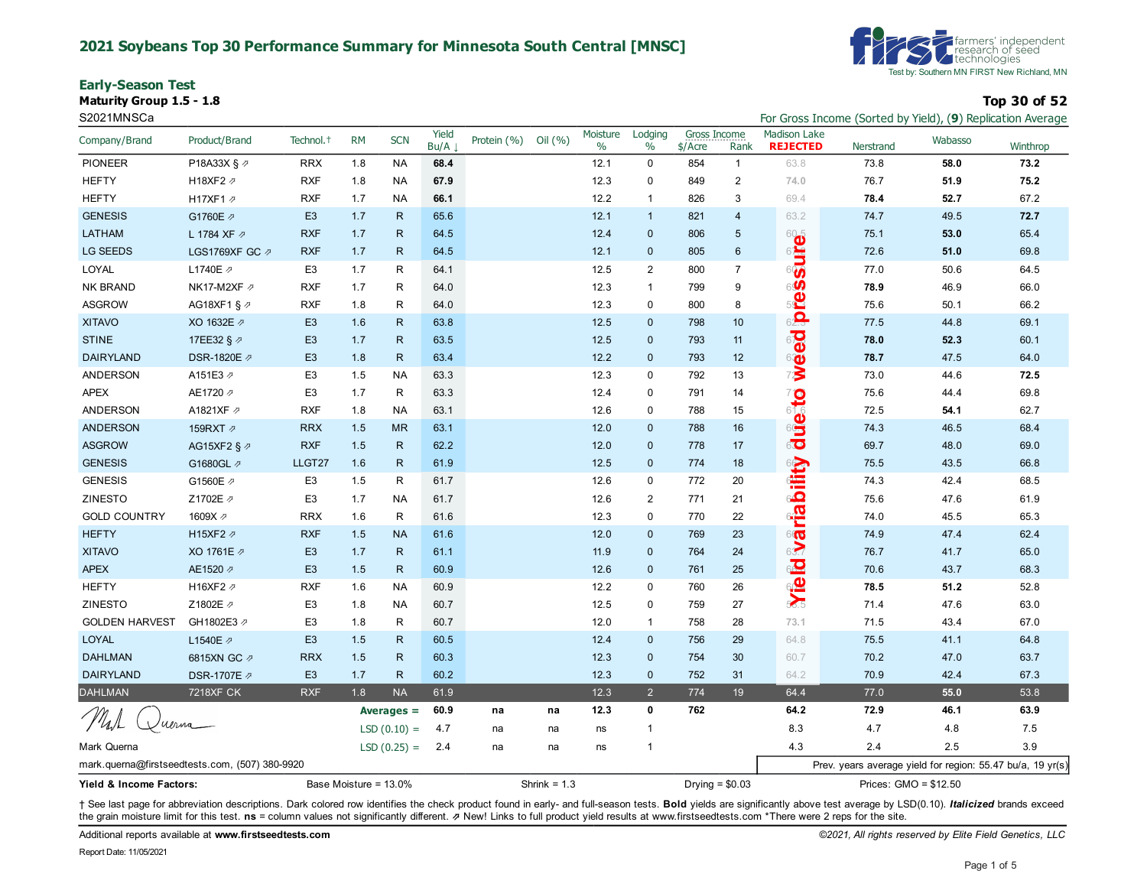#### **2021 Soybeans Top 30 Performance Summary for Minnesota South Central [MNSC]**

**Early-Season Test**

**Maturity Group 1.5 - 1.8 Top 30 of 52**



S2021MNSCa **For Gross Income (Sorted by Yield), (9**) Replication Average

| Company/Brand                                  | Product/Brand           | Technol. <sup>+</sup> | <b>RM</b> | <b>SCN</b>            | Yield<br>Bu/A | Protein (%) | Oil (%)        | Moisture<br>$\%$ | Lodging<br>$\%$ | <b>Gross Income</b><br>\$/Acre | Rank           | <b>Madison Lake</b><br><b>REJECTED</b> | Nerstrand             | Wabasso                                                    | Winthrop |
|------------------------------------------------|-------------------------|-----------------------|-----------|-----------------------|---------------|-------------|----------------|------------------|-----------------|--------------------------------|----------------|----------------------------------------|-----------------------|------------------------------------------------------------|----------|
| <b>PIONEER</b>                                 | P18A33X § 2             | <b>RRX</b>            | 1.8       | <b>NA</b>             | 68.4          |             |                | 12.1             | $\mathbf 0$     | 854                            | $\mathbf{1}$   | 63.8                                   | 73.8                  | 58.0                                                       | 73.2     |
| <b>HEFTY</b>                                   | H18XF2 2                | <b>RXF</b>            | 1.8       | NA                    | 67.9          |             |                | 12.3             | 0               | 849                            | 2              | 74.0                                   | 76.7                  | 51.9                                                       | 75.2     |
| <b>HEFTY</b>                                   | H17XF1 2                | <b>RXF</b>            | 1.7       | <b>NA</b>             | 66.1          |             |                | 12.2             | $\mathbf{1}$    | 826                            | 3              | 69.4                                   | 78.4                  | 52.7                                                       | 67.2     |
| <b>GENESIS</b>                                 | G1760E 2                | E <sub>3</sub>        | 1.7       | $\mathsf{R}$          | 65.6          |             |                | 12.1             | $\mathbf{1}$    | 821                            | $\overline{4}$ | 63.2                                   | 74.7                  | 49.5                                                       | 72.7     |
| <b>LATHAM</b>                                  | L 1784 XF 2             | <b>RXF</b>            | 1.7       | $\mathsf{R}$          | 64.5          |             |                | 12.4             | $\mathbf{0}$    | 806                            | 5              | 625                                    | 75.1                  | 53.0                                                       | 65.4     |
| <b>LG SEEDS</b>                                | LGS1769XF GC 2          | <b>RXF</b>            | 1.7       | $\mathsf{R}$          | 64.5          |             |                | 12.1             | $\mathbf 0$     | 805                            | 6              |                                        | 72.6                  | 51.0                                                       | 69.8     |
| LOYAL                                          | L1740E 2                | E <sub>3</sub>        | 1.7       | R                     | 64.1          |             |                | 12.5             | 2               | 800                            | $\overline{7}$ | <b>Sure</b>                            | 77.0                  | 50.6                                                       | 64.5     |
| <b>NK BRAND</b>                                | NK17-M2XF Ø             | <b>RXF</b>            | 1.7       | R                     | 64.0          |             |                | 12.3             | $\mathbf{1}$    | 799                            | 9              | 6 <b>S</b>                             | 78.9                  | 46.9                                                       | 66.0     |
| <b>ASGROW</b>                                  | AG18XF1 § 2             | <b>RXF</b>            | 1.8       | R                     | 64.0          |             |                | 12.3             | 0               | 800                            | 8              | 5 <sup>2</sup>                         | 75.6                  | 50.1                                                       | 66.2     |
| <b>XITAVO</b>                                  | XO 1632E 2              | E <sub>3</sub>        | 1.6       | $\mathsf{R}$          | 63.8          |             |                | 12.5             | $\mathbf{0}$    | 798                            | 10             | 62.3                                   | 77.5                  | 44.8                                                       | 69.1     |
| <b>STINE</b>                                   | 17EE32 § 2              | E <sub>3</sub>        | 1.7       | $\mathsf{R}$          | 63.5          |             |                | 12.5             | $\mathbf{0}$    | 793                            | 11             | weed                                   | 78.0                  | 52.3                                                       | 60.1     |
| <b>DAIRYLAND</b>                               | DSR-1820E 2             | E <sub>3</sub>        | 1.8       | $\mathsf{R}$          | 63.4          |             |                | 12.2             | $\mathbf 0$     | 793                            | 12             |                                        | 78.7                  | 47.5                                                       | 64.0     |
| ANDERSON                                       | A151E3 2                | E <sub>3</sub>        | 1.5       | <b>NA</b>             | 63.3          |             |                | 12.3             | $\mathbf 0$     | 792                            | 13             |                                        | 73.0                  | 44.6                                                       | 72.5     |
| <b>APEX</b>                                    | AE1720 2                | E <sub>3</sub>        | 1.7       | R                     | 63.3          |             |                | 12.4             | 0               | 791                            | 14             |                                        | 75.6                  | 44.4                                                       | 69.8     |
| <b>ANDERSON</b>                                | A1821XF 2               | <b>RXF</b>            | 1.8       | NA                    | 63.1          |             |                | 12.6             | 0               | 788                            | 15             | duento                                 | 72.5                  | 54.1                                                       | 62.7     |
| <b>ANDERSON</b>                                | 159RXT 2                | <b>RRX</b>            | 1.5       | <b>MR</b>             | 63.1          |             |                | 12.0             | $\mathbf 0$     | 788                            | 16             |                                        | 74.3                  | 46.5                                                       | 68.4     |
| <b>ASGROW</b>                                  | AG15XF2 § $\varnothing$ | <b>RXF</b>            | 1.5       | R                     | 62.2          |             |                | 12.0             | $\mathbf{0}$    | 778                            | 17             |                                        | 69.7                  | 48.0                                                       | 69.0     |
| <b>GENESIS</b>                                 | G1680GL 2               | LLGT27                | 1.6       | R                     | 61.9          |             |                | 12.5             | $\mathbf 0$     | 774                            | 18             |                                        | 75.5                  | 43.5                                                       | 66.8     |
| <b>GENESIS</b>                                 | G1560E 2                | E <sub>3</sub>        | 1.5       | R                     | 61.7          |             |                | 12.6             | $\mathsf 0$     | 772                            | $20\,$         |                                        | 74.3                  | 42.4                                                       | 68.5     |
| <b>ZINESTO</b>                                 | Z1702E /                | E <sub>3</sub>        | 1.7       | <b>NA</b>             | 61.7          |             |                | 12.6             | 2               | 771                            | 21             |                                        | 75.6                  | 47.6                                                       | 61.9     |
| <b>GOLD COUNTRY</b>                            | 1609X 2                 | <b>RRX</b>            | 1.6       | R                     | 61.6          |             |                | 12.3             | $\mathbf 0$     | 770                            | 22             | <b><u>wariability</u></b>              | 74.0                  | 45.5                                                       | 65.3     |
| <b>HEFTY</b>                                   | H15XF2 2                | <b>RXF</b>            | 1.5       | <b>NA</b>             | 61.6          |             |                | 12.0             | $\mathbf{0}$    | 769                            | 23             |                                        | 74.9                  | 47.4                                                       | 62.4     |
| <b>XITAVO</b>                                  | XO 1761E 2              | E <sub>3</sub>        | 1.7       | R                     | 61.1          |             |                | 11.9             | $\mathbf{0}$    | 764                            | 24             |                                        | 76.7                  | 41.7                                                       | 65.0     |
| <b>APEX</b>                                    | AE1520 2                | E <sub>3</sub>        | 1.5       | R                     | 60.9          |             |                | 12.6             | $\mathbf{0}$    | 761                            | 25             | <b>ion</b>                             | 70.6                  | 43.7                                                       | 68.3     |
| <b>HEFTY</b>                                   | H16XF2 2                | <b>RXF</b>            | 1.6       | <b>NA</b>             | 60.9          |             |                | 12.2             | $\mathbf 0$     | 760                            | 26             |                                        | 78.5                  | 51.2                                                       | 52.8     |
| <b>ZINESTO</b>                                 | Z1802E 2                | E <sub>3</sub>        | 1.8       | <b>NA</b>             | 60.7          |             |                | 12.5             | $\mathbf 0$     | 759                            | 27             |                                        | 71.4                  | 47.6                                                       | 63.0     |
| <b>GOLDEN HARVEST</b>                          | GH1802E3 2              | E <sub>3</sub>        | 1.8       | R                     | 60.7          |             |                | 12.0             | $\mathbf{1}$    | 758                            | 28             | 73.1                                   | 71.5                  | 43.4                                                       | 67.0     |
| <b>LOYAL</b>                                   | L1540E 2                | E <sub>3</sub>        | 1.5       | $\mathsf{R}$          | 60.5          |             |                | 12.4             | $\mathbf{0}$    | 756                            | 29             | 64.8                                   | 75.5                  | 41.1                                                       | 64.8     |
| <b>DAHLMAN</b>                                 | 6815XN GC 2             | <b>RRX</b>            | 1.5       | ${\sf R}$             | 60.3          |             |                | 12.3             | $\mathbf 0$     | 754                            | 30             | 60.7                                   | 70.2                  | 47.0                                                       | 63.7     |
| <b>DAIRYLAND</b>                               | DSR-1707E 2             | E <sub>3</sub>        | 1.7       | $\mathsf{R}$          | 60.2          |             |                | 12.3             | $\mathbf{0}$    | 752                            | 31             | 64.2                                   | 70.9                  | 42.4                                                       | 67.3     |
| <b>DAHLMAN</b>                                 | <b>7218XF CK</b>        | <b>RXF</b>            | 1.8       | <b>NA</b>             | 61.9          |             |                | 12.3             | 2               | 774                            | 19             | 64.4                                   | 77.0                  | 55.0                                                       | 53.8     |
|                                                |                         |                       |           | Averages $=$          | 60.9          | na          | na             | 12.3             | 0               | 762                            |                | 64.2                                   | 72.9                  | 46.1                                                       | 63.9     |
|                                                | uerna                   |                       |           | $LSD(0.10) =$         | 4.7           | na          | na             | ns               | $\overline{1}$  |                                |                | 8.3                                    | 4.7                   | 4.8                                                        | 7.5      |
| Mark Querna                                    |                         |                       |           | $LSD(0.25) =$         | 2.4           | na          | na             | ns               | $\mathbf{1}$    |                                |                | 4.3                                    | 2.4                   | 2.5                                                        | 3.9      |
| mark.querna@firstseedtests.com, (507) 380-9920 |                         |                       |           |                       |               |             |                |                  |                 |                                |                |                                        |                       | Prev. years average yield for region: 55.47 bu/a, 19 yr(s) |          |
| Yield & Income Factors:                        |                         |                       |           | Base Moisture = 13.0% |               |             | Shrink = $1.3$ |                  |                 | Drying = $$0.03$               |                |                                        | Prices: GMO = \$12.50 |                                                            |          |

+ See last page for abbreviation descriptions. Dark colored row identifies the check product found in early- and full-season tests. Bold yields are significantly above test average by LSD(0.10). Italicized brands exceed the grain moisture limit for this test. ns = column values not significantly different. **z** New! Links to full product yield results at www.firstseedtests.com \*There were 2 reps for the site.

Additional reports available at **[www.firstseedtests.com](https://www.firstseedtests.com)** *©2021, All rights reserved by Elite Field Genetics, LLC* 

Report Date: 11/05/2021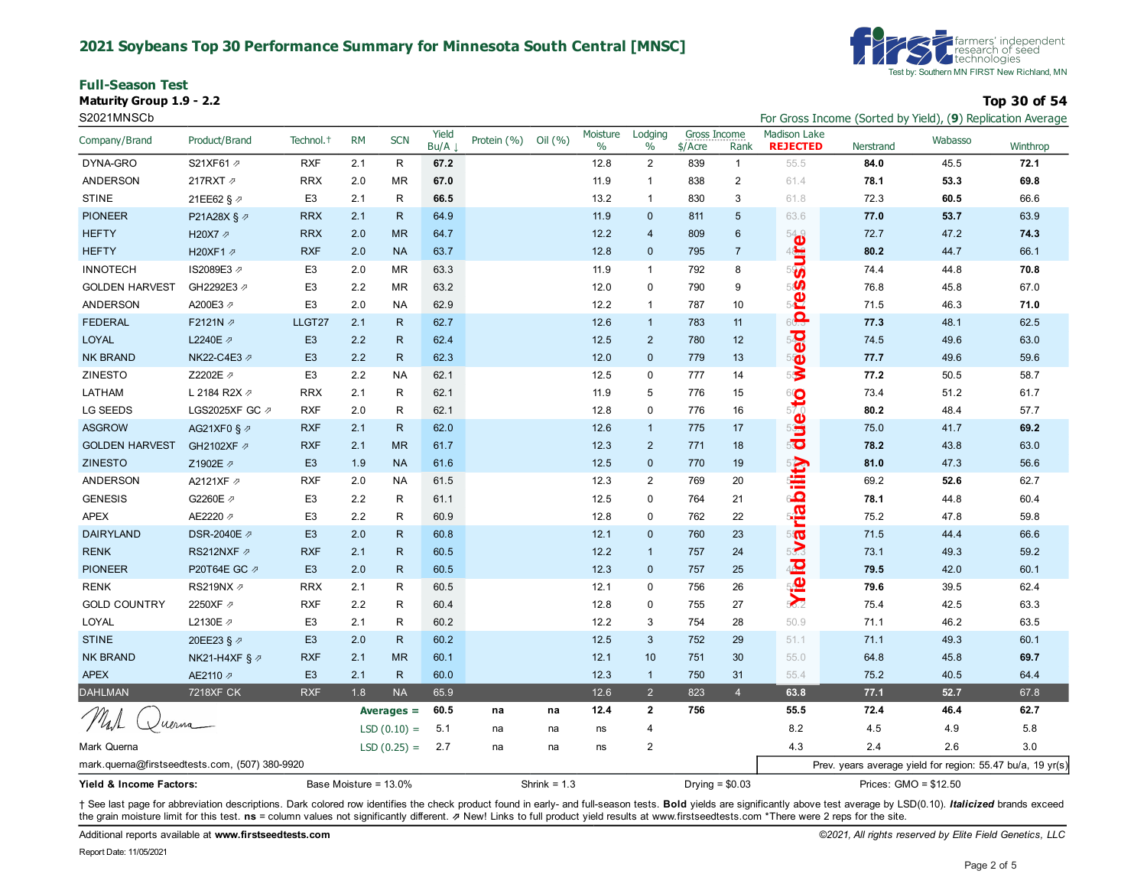#### **2021 Soybeans Top 30 Performance Summary for Minnesota South Central [MNSC]**

**Full-Season Test**

**Maturity Group 1.9 - 2.2 Top 30 of 54**



S2021MNSCb For Gross Income (Sorted by Yield), (**9**) Replication Average

| Company/Brand                                  | Product/Brand             | Technol. <sup>+</sup> | <b>RM</b>             | <b>SCN</b>    | Yield<br>Bu/A | Protein (%) | Oil (%)        | Moisture<br>$\%$ | Lodging<br>$\%$ | Gross Income<br>\$/Acre | Rank                    | <b>Madison Lake</b><br><b>REJECTED</b> | Nerstrand             | Wabasso | Winthrop                                                   |
|------------------------------------------------|---------------------------|-----------------------|-----------------------|---------------|---------------|-------------|----------------|------------------|-----------------|-------------------------|-------------------------|----------------------------------------|-----------------------|---------|------------------------------------------------------------|
| DYNA-GRO                                       | S21XF61 2                 | <b>RXF</b>            | 2.1                   | R             | 67.2          |             |                | 12.8             | 2               | 839                     | $\mathbf{1}$            | 55.5                                   | 84.0                  | 45.5    | 72.1                                                       |
| ANDERSON                                       | 217RXT 2                  | <b>RRX</b>            | 2.0                   | <b>MR</b>     | 67.0          |             |                | 11.9             | $\overline{1}$  | 838                     | $\overline{\mathbf{c}}$ | 61.4                                   | 78.1                  | 53.3    | 69.8                                                       |
| <b>STINE</b>                                   | 21EE62 § ⊉                | E <sub>3</sub>        | 2.1                   | R             | 66.5          |             |                | 13.2             | $\mathbf{1}$    | 830                     | 3                       | 61.8                                   | 72.3                  | 60.5    | 66.6                                                       |
| <b>PIONEER</b>                                 | P21A28X § ⊉               | <b>RRX</b>            | 2.1                   | R.            | 64.9          |             |                | 11.9             | $\mathbf{0}$    | 811                     | 5                       | 63.6                                   | 77.0                  | 53.7    | 63.9                                                       |
| <b>HEFTY</b>                                   | H20X7 2                   | <b>RRX</b>            | 2.0                   | <b>MR</b>     | 64.7          |             |                | 12.2             | $\overline{4}$  | 809                     | $6\phantom{1}$          |                                        | 72.7                  | 47.2    | 74.3                                                       |
| <b>HEFTY</b>                                   | H20XF1 2                  | <b>RXF</b>            | 2.0                   | <b>NA</b>     | 63.7          |             |                | 12.8             | $\mathbf 0$     | 795                     | $\overline{7}$          |                                        | 80.2                  | 44.7    | 66.1                                                       |
| <b>INNOTECH</b>                                | IS2089E3 ₽                | E <sub>3</sub>        | 2.0                   | <b>MR</b>     | 63.3          |             |                | 11.9             | $\mathbf{1}$    | 792                     | 8                       | Suites                                 | 74.4                  | 44.8    | 70.8                                                       |
| <b>GOLDEN HARVEST</b>                          | GH2292E3 2                | E <sub>3</sub>        | 2.2                   | <b>MR</b>     | 63.2          |             |                | 12.0             | $\mathbf 0$     | 790                     | 9                       | 50                                     | 76.8                  | 45.8    | 67.0                                                       |
| ANDERSON                                       | A200E3 2                  | E <sub>3</sub>        | 2.0                   | <b>NA</b>     | 62.9          |             |                | 12.2             | $\mathbf{1}$    | 787                     | 10                      | 5 <sup>2</sup>                         | 71.5                  | 46.3    | 71.0                                                       |
| <b>FEDERAL</b>                                 | F2121N 2                  | LLGT27                | 2.1                   | $\mathsf{R}$  | 62.7          |             |                | 12.6             | $\mathbf{1}$    | 783                     | 11                      | 60.3                                   | 77.3                  | 48.1    | 62.5                                                       |
| <b>LOYAL</b>                                   | L2240E 2                  | E <sub>3</sub>        | 2.2                   | $\mathsf{R}$  | 62.4          |             |                | 12.5             | $\overline{2}$  | 780                     | 12                      | weed                                   | 74.5                  | 49.6    | 63.0                                                       |
| <b>NK BRAND</b>                                | NK22-C4E3 Ø               | E <sub>3</sub>        | 2.2                   | $\mathsf{R}$  | 62.3          |             |                | 12.0             | $\mathbf 0$     | 779                     | 13                      |                                        | 77.7                  | 49.6    | 59.6                                                       |
| ZINESTO                                        | Z2202E 2                  | E <sub>3</sub>        | 2.2                   | <b>NA</b>     | 62.1          |             |                | 12.5             | $\mathbf 0$     | 777                     | 14                      |                                        | 77.2                  | 50.5    | 58.7                                                       |
| LATHAM                                         | L 2184 R2X $\varnothing$  | <b>RRX</b>            | 2.1                   | R             | 62.1          |             |                | 11.9             | 5               | 776                     | 15                      |                                        | 73.4                  | 51.2    | 61.7                                                       |
| LG SEEDS                                       | LGS2025XF GC 2            | <b>RXF</b>            | 2.0                   | R             | 62.1          |             |                | 12.8             | $\mathbf 0$     | 776                     | 16                      | <b>uleato</b>                          | 80.2                  | 48.4    | 57.7                                                       |
| <b>ASGROW</b>                                  | AG21XF0 § $\varnothing$   | <b>RXF</b>            | 2.1                   | ${\sf R}$     | 62.0          |             |                | 12.6             | $\overline{1}$  | 775                     | 17                      |                                        | 75.0                  | 41.7    | 69.2                                                       |
| <b>GOLDEN HARVEST</b>                          | GH2102XF 2                | <b>RXF</b>            | 2.1                   | <b>MR</b>     | 61.7          |             |                | 12.3             | $\overline{2}$  | 771                     | 18                      | $5\overline{\bullet}$                  | 78.2                  | 43.8    | 63.0                                                       |
| <b>ZINESTO</b>                                 | Z1902E 2                  | E <sub>3</sub>        | 1.9                   | <b>NA</b>     | 61.6          |             |                | 12.5             | $\mathbf 0$     | 770                     | 19                      | <b>Bility</b>                          | 81.0                  | 47.3    | 56.6                                                       |
| ANDERSON                                       | A2121XF 2                 | <b>RXF</b>            | 2.0                   | <b>NA</b>     | 61.5          |             |                | 12.3             | $\overline{2}$  | 769                     | $20\,$                  |                                        | 69.2                  | 52.6    | 62.7                                                       |
| <b>GENESIS</b>                                 | G2260E 2                  | E <sub>3</sub>        | 2.2                   | R             | 61.1          |             |                | 12.5             | $\mathbf 0$     | 764                     | 21                      |                                        | 78.1                  | 44.8    | 60.4                                                       |
| <b>APEX</b>                                    | AE2220 2                  | E <sub>3</sub>        | 2.2                   | R             | 60.9          |             |                | 12.8             | $\mathbf 0$     | 762                     | 22                      | <b>Svarial</b>                         | 75.2                  | 47.8    | 59.8                                                       |
| <b>DAIRYLAND</b>                               | DSR-2040E ク               | E <sub>3</sub>        | 2.0                   | $\mathsf{R}$  | 60.8          |             |                | 12.1             | $\mathbf{0}$    | 760                     | 23                      |                                        | 71.5                  | 44.4    | 66.6                                                       |
| <b>RENK</b>                                    | RS212NXF 2                | <b>RXF</b>            | 2.1                   | $\mathsf{R}$  | 60.5          |             |                | 12.2             | $\overline{1}$  | 757                     | 24                      |                                        | 73.1                  | 49.3    | 59.2                                                       |
| <b>PIONEER</b>                                 | P20T64E GC Ø              | E <sub>3</sub>        | 2.0                   | $\mathsf{R}$  | 60.5          |             |                | 12.3             | $\mathbf{0}$    | 757                     | 25                      | <b>Syfeid</b>                          | 79.5                  | 42.0    | 60.1                                                       |
| <b>RENK</b>                                    | RS219NX ∂                 | <b>RRX</b>            | 2.1                   | R             | 60.5          |             |                | 12.1             | $\mathbf 0$     | 756                     | 26                      |                                        | 79.6                  | 39.5    | 62.4                                                       |
| <b>GOLD COUNTRY</b>                            | 2250XF /                  | <b>RXF</b>            | 2.2                   | R             | 60.4          |             |                | 12.8             | $\mathbf 0$     | 755                     | 27                      |                                        | 75.4                  | 42.5    | 63.3                                                       |
| LOYAL                                          | L2130E 2                  | E <sub>3</sub>        | 2.1                   | R             | 60.2          |             |                | 12.2             | 3               | 754                     | 28                      | 50.9                                   | 71.1                  | 46.2    | 63.5                                                       |
| <b>STINE</b>                                   | 20EE23 § ⊉                | E <sub>3</sub>        | 2.0                   | $\mathsf{R}$  | 60.2          |             |                | 12.5             | $\mathbf{3}$    | 752                     | 29                      | 51.1                                   | 71.1                  | 49.3    | 60.1                                                       |
| <b>NK BRAND</b>                                | NK21-H4XF § $\varnothing$ | <b>RXF</b>            | 2.1                   | <b>MR</b>     | 60.1          |             |                | 12.1             | 10              | 751                     | 30                      | 55.0                                   | 64.8                  | 45.8    | 69.7                                                       |
| <b>APEX</b>                                    | AE2110 2                  | E <sub>3</sub>        | 2.1                   | $\mathsf{R}$  | 60.0          |             |                | 12.3             | $\overline{1}$  | 750                     | 31                      | 55.4                                   | 75.2                  | 40.5    | 64.4                                                       |
| <b>DAHLMAN</b>                                 | <b>7218XF CK</b>          | <b>RXF</b>            | 1.8                   | <b>NA</b>     | 65.9          |             |                | 12.6             | $\overline{2}$  | 823                     | $\overline{4}$          | 63.8                                   | 77.1                  | 52.7    | 67.8                                                       |
|                                                |                           |                       |                       | Averages $=$  | 60.5          | na          | na             | 12.4             | $\overline{2}$  | 756                     |                         | 55.5                                   | 72.4                  | 46.4    | 62.7                                                       |
|                                                | uerna                     |                       |                       | $LSD(0.10) =$ | 5.1           | na          | na             | ns               | $\overline{4}$  |                         |                         | 8.2                                    | 4.5                   | 4.9     | 5.8                                                        |
| Mark Querna                                    |                           |                       |                       | $LSD(0.25) =$ | 2.7           | na          | na             | ns               | $\overline{2}$  |                         |                         | 4.3                                    | 2.4                   | 2.6     | 3.0                                                        |
| mark.querna@firstseedtests.com, (507) 380-9920 |                           |                       |                       |               |               |             |                |                  |                 |                         |                         |                                        |                       |         | Prev. years average yield for region: 55.47 bu/a, 19 yr(s) |
| Yield & Income Factors:                        |                           |                       | Base Moisture = 13.0% |               |               |             | Shrink = $1.3$ |                  |                 |                         | Drying = $$0.03$        |                                        | Prices: GMO = \$12.50 |         |                                                            |

+ See last page for abbreviation descriptions. Dark colored row identifies the check product found in early- and full-season tests. Bold yields are significantly above test average by LSD(0.10). Italicized brands exceed the grain moisture limit for this test. ns = column values not significantly different. **z** New! Links to full product yield results at www.firstseedtests.com \*There were 2 reps for the site.

Additional reports available at **[www.firstseedtests.com](https://www.firstseedtests.com)** *©2021, All rights reserved by Elite Field Genetics, LLC*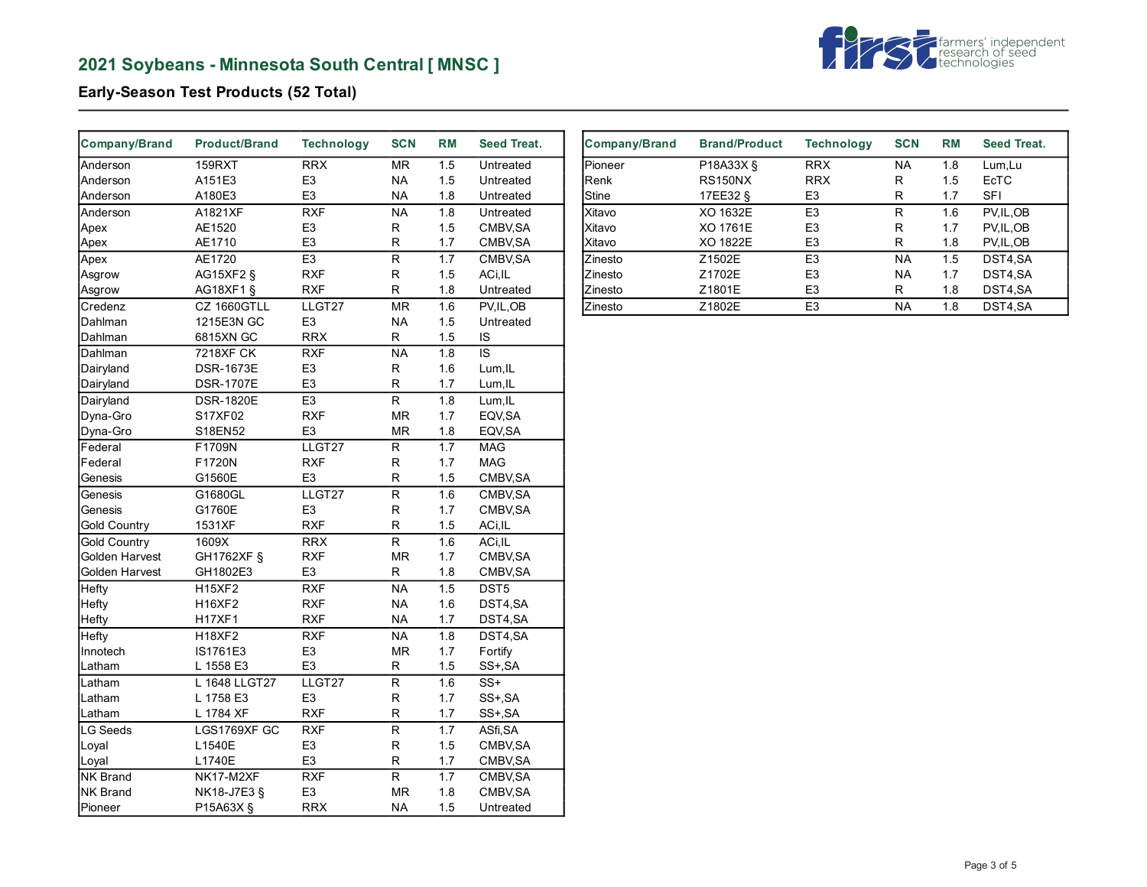# **2021 Soybeans - Minnesota South Central [ MNSC ]**



# **Early-Season Test Products (52 Total)**

| <b>Company/Brand</b> | <b>Product/Brand</b> | <b>Technology</b> | <b>SCN</b>               | <b>RM</b>        | <b>Seed Treat.</b> |
|----------------------|----------------------|-------------------|--------------------------|------------------|--------------------|
| Anderson             | <b>159RXT</b>        | <b>RRX</b>        | <b>MR</b>                | 1.5              | Untreated          |
| Anderson             | A151E3               | E <sub>3</sub>    | ΝA                       | 1.5              | Untreated          |
| Anderson             | A180E3               | E <sub>3</sub>    | <b>NA</b>                | 1.8              | Untreated          |
| Anderson             | A1821XF              | <b>RXF</b>        | <b>NA</b>                | 1.8              | Untreated          |
| Apex                 | AE1520               | E <sub>3</sub>    | R                        | 1.5              | CMBV, SA           |
| Apex                 | AE1710               | E <sub>3</sub>    | R                        | 1.7              | CMBV, SA           |
| Apex                 | AE1720               | E <sub>3</sub>    | R                        | 1.7              | CMBV, SA           |
| Asgrow               | AG15XF2 §            | <b>RXF</b>        | R                        | 1.5              | ACi, IL            |
| Asgrow               | AG18XF1 §            | <b>RXF</b>        | R                        | 1.8              | Untreated          |
| Credenz              | CZ 1660GTLL          | LLGT27            | <b>MR</b>                | 1.6              | PV, IL, OB         |
| Dahlman              | 1215E3N GC           | E <sub>3</sub>    | <b>NA</b>                | 1.5              | Untreated          |
| Dahlman              | 6815XN GC            | <b>RRX</b>        | R                        | 1.5              | IS                 |
| Dahlman              | <b>7218XF CK</b>     | <b>RXF</b>        | <b>NA</b>                | 1.8              | IS                 |
| Dairyland            | <b>DSR-1673E</b>     | E <sub>3</sub>    | R                        | 1.6              | Lum, IL            |
| Dairyland            | <b>DSR-1707E</b>     | E <sub>3</sub>    | R                        | 1.7              | Lum, IL            |
| Dairyland            | <b>DSR-1820E</b>     | E <sub>3</sub>    | R                        | 1.8              | Lum, IL            |
| Dyna-Gro             | S17XF02              | <b>RXF</b>        | <b>MR</b>                | 1.7              | EQV, SA            |
| Dyna-Gro             | S18EN52              | E <sub>3</sub>    | <b>MR</b>                | 1.8              | EQV, SA            |
| Federal              | F1709N               | LLGT27            | R                        | 1.7              | <b>MAG</b>         |
| Federal              | F1720N               | <b>RXF</b>        | R                        | 1.7              | <b>MAG</b>         |
| Genesis              | G1560E               | E <sub>3</sub>    | R                        | 1.5              | CMBV, SA           |
| Genesis              | G1680GL              | LLGT27            | $\overline{\mathsf{R}}$  | $\overline{1.6}$ | CMBV, SA           |
| Genesis              | G1760E               | E <sub>3</sub>    | R                        | 1.7              | CMBV, SA           |
| <b>Gold Country</b>  | 1531XF               | <b>RXF</b>        | R                        | 1.5              | ACi, IL            |
| <b>Gold Country</b>  | 1609X                | <b>RRX</b>        | $\overline{\mathsf{R}}$  | 1.6              | ACi.IL             |
| Golden Harvest       | GH1762XF §           | <b>RXF</b>        | <b>MR</b>                | 1.7              | CMBV, SA           |
| Golden Harvest       | GH1802E3             | E <sub>3</sub>    | R                        | 1.8              | CMBV, SA           |
| Hefty                | <b>H15XF2</b>        | <b>RXF</b>        | $\overline{\mathsf{NA}}$ | $\overline{1.5}$ | DST5               |
| Hefty                | <b>H16XF2</b>        | <b>RXF</b>        | <b>NA</b>                | 1.6              | DST4,SA            |
| Hefty                | <b>H17XF1</b>        | <b>RXF</b>        | <b>NA</b>                | 1.7              | DST4,SA            |
| Hefty                | <b>H18XF2</b>        | <b>RXF</b>        | <b>NA</b>                | 1.8              | DST4,SA            |
| Innotech             | IS1761E3             | E <sub>3</sub>    | <b>MR</b>                | 1.7              | Fortify            |
| Latham               | L 1558 E3            | E <sub>3</sub>    | R                        | 1.5              | SS+, SA            |
| Latham               | L 1648 LLGT27        | LLGT27            | R                        | 1.6              | $SS+$              |
| Latham               | L 1758 E3            | E <sub>3</sub>    | R                        | 1.7              | SS+, SA            |
| Latham               | L 1784 XF            | <b>RXF</b>        | $\mathsf R$              | 1.7              | SS+, SA            |
| <b>LG Seeds</b>      | LGS1769XF GC         | <b>RXF</b>        | R                        | 1.7              | ASfi, SA           |
| Loyal                | L1540E               | E <sub>3</sub>    | R                        | 1.5              | CMBV, SA           |
| Loyal                | L1740E               | E <sub>3</sub>    | R                        | 1.7              | CMBV, SA           |
| <b>NK Brand</b>      | NK17-M2XF            | <b>RXF</b>        | $\overline{\mathsf{R}}$  | 1.7              | CMBV, SA           |
| <b>NK Brand</b>      | NK18-J7E3 §          | E <sub>3</sub>    | <b>MR</b>                | 1.8              | CMBV, SA           |
| Pioneer              | P15A63X §            | <b>RRX</b>        | NΑ                       | 1.5              | Untreated          |

| <b>Company/Brand</b> | <b>Brand/Product</b> | <b>Technology</b> | <b>SCN</b> | <b>RM</b> | Seed Treat. |
|----------------------|----------------------|-------------------|------------|-----------|-------------|
|                      |                      |                   |            |           |             |
| Pioneer              | P18A33X §            | <b>RRX</b>        | <b>NA</b>  | 1.8       | Lum, Lu     |
| <b>Renk</b>          | <b>RS150NX</b>       | <b>RRX</b>        | R          | 1.5       | <b>EcTC</b> |
| <b>Stine</b>         | 17EE32 §             | E <sub>3</sub>    | R          | 1.7       | <b>SFI</b>  |
| Xitavo               | XO 1632E             | E <sub>3</sub>    | R          | 1.6       | PV, IL, OB  |
| lXitavo              | XO 1761E             | E <sub>3</sub>    | R          | 1.7       | PV, IL, OB  |
| Xitavo               | XO 1822E             | E <sub>3</sub>    | R          | 1.8       | PV, IL, OB  |
| <b>Zinesto</b>       | Z1502E               | E <sub>3</sub>    | <b>NA</b>  | 1.5       | DST4.SA     |
| <b>Zinesto</b>       | Z1702E               | E <sub>3</sub>    | <b>NA</b>  | 1.7       | DST4,SA     |
| <b>Zinesto</b>       | Z1801E               | E <sub>3</sub>    | R          | 1.8       | DST4,SA     |
| <b>Zinesto</b>       | Z1802E               | E <sub>3</sub>    | <b>NA</b>  | 1.8       | DST4,SA     |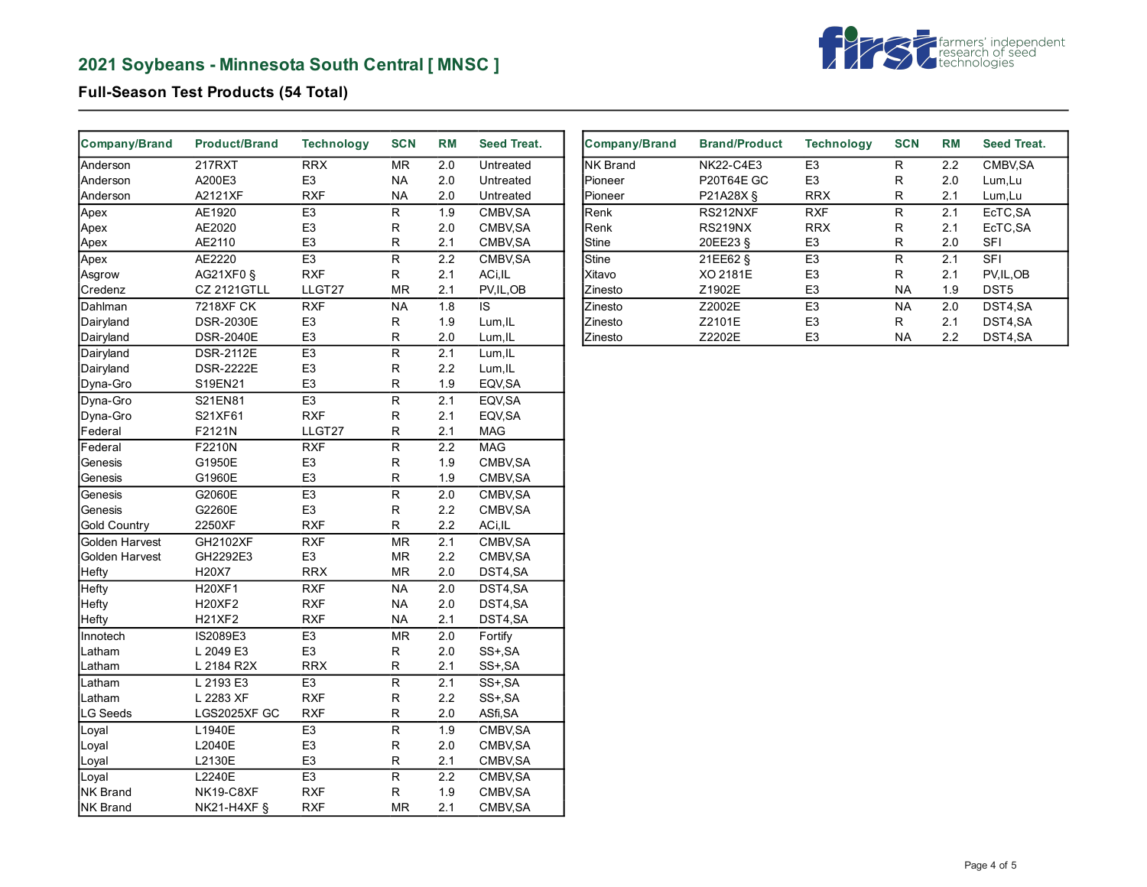# **2021 Soybeans - Minnesota South Central [ MNSC ]**



## **Full-Season Test Products (54 Total)**

| Company/Brand       | <b>Product/Brand</b> | <b>Technology</b> | <b>SCN</b>              | <b>RM</b>        | <b>Seed Treat.</b> |
|---------------------|----------------------|-------------------|-------------------------|------------------|--------------------|
| Anderson            | <b>217RXT</b>        | <b>RRX</b>        | <b>MR</b>               | 2.0              | Untreated          |
| Anderson            | A200E3               | E <sub>3</sub>    | NA.                     | 2.0              | Untreated          |
| Anderson            | A2121XF              | <b>RXF</b>        | <b>NA</b>               | 2.0              | Untreated          |
| Apex                | AE1920               | E <sub>3</sub>    | R                       | 1.9              | CMBV, SA           |
| Apex                | AE2020               | E <sub>3</sub>    | R                       | 2.0              | CMBV, SA           |
| Apex                | AE2110               | E <sub>3</sub>    | R                       | 2.1              | CMBV, SA           |
| Apex                | AE2220               | E <sub>3</sub>    | $\overline{R}$          | 2.2              | CMBV, SA           |
| Asgrow              | AG21XF0 §            | <b>RXF</b>        | R                       | 2.1              | ACi, IL            |
| Credenz             | <b>CZ 2121GTLL</b>   | LLGT27            | <b>MR</b>               | 2.1              | PV, IL, OB         |
| Dahlman             | <b>7218XF CK</b>     | <b>RXF</b>        | <b>NA</b>               | 1.8              | IS                 |
| Dairyland           | <b>DSR-2030E</b>     | E <sub>3</sub>    | $\mathsf R$             | 1.9              | Lum, IL            |
| Dairyland           | <b>DSR-2040E</b>     | E <sub>3</sub>    | $\mathsf R$             | 2.0              | Lum, IL            |
| Dairyland           | <b>DSR-2112E</b>     | E3                | $\overline{\mathsf{R}}$ | 2.1              | Lum, IL            |
| Dairyland           | <b>DSR-2222E</b>     | E <sub>3</sub>    | $\mathsf R$             | 2.2              | Lum, IL            |
| Dyna-Gro            | S19EN21              | E <sub>3</sub>    | R                       | 1.9              | EQV, SA            |
| Dyna-Gro            | S21EN81              | E <sub>3</sub>    | R                       | 2.1              | EQV, SA            |
| Dyna-Gro            | S21XF61              | <b>RXF</b>        | R                       | 2.1              | EQV, SA            |
| Federal             | F2121N               | LLGT27            | $\mathsf R$             | 2.1              | <b>MAG</b>         |
| Federal             | F2210N               | <b>RXF</b>        | R                       | 2.2              | <b>MAG</b>         |
| Genesis             | G1950E               | E <sub>3</sub>    | $\mathsf R$             | 1.9              | CMBV, SA           |
| Genesis             | G1960E               | E <sub>3</sub>    | R                       | 1.9              | CMBV, SA           |
| Genesis             | G2060E               | E <sub>3</sub>    | $\overline{\mathsf{R}}$ | 2.0              | CMBV, SA           |
| Genesis             | G2260E               | E <sub>3</sub>    | $\mathsf{R}$            | 2.2              | CMBV, SA           |
| <b>Gold Country</b> | 2250XF               | <b>RXF</b>        | $\mathsf R$             | 2.2              | ACi, IL            |
| Golden Harvest      | GH2102XF             | <b>RXF</b>        | <b>MR</b>               | $\overline{2.1}$ | CMBV, SA           |
| Golden Harvest      | GH2292E3             | E <sub>3</sub>    | <b>MR</b>               | 2.2              | CMBV, SA           |
| Hefty               | H20X7                | <b>RRX</b>        | MR                      | 2.0              | DST4,SA            |
| Hefty               | <b>H20XF1</b>        | <b>RXF</b>        | <b>NA</b>               | 2.0              | DST4,SA            |
| Hefty               | <b>H20XF2</b>        | <b>RXF</b>        | <b>NA</b>               | 2.0              | DST4,SA            |
| Hefty               | <b>H21XF2</b>        | <b>RXF</b>        | <b>NA</b>               | 2.1              | DST4,SA            |
| Innotech            | IS2089E3             | E <sub>3</sub>    | <b>MR</b>               | 2.0              | Fortify            |
| Latham              | L 2049 E3            | E <sub>3</sub>    | $\mathsf R$             | 2.0              | SS+, SA            |
| Latham              | L 2184 R2X           | <b>RRX</b>        | R                       | 2.1              | SS+, SA            |
| Latham              | L 2193 E3            | E <sub>3</sub>    | $\overline{R}$          | 2.1              | SS+, SA            |
| Latham              | L 2283 XF            | <b>RXF</b>        | $\mathsf R$             | 2.2              | SS+, SA            |
| <b>LG Seeds</b>     | LGS2025XF GC         | <b>RXF</b>        | R                       | 2.0              | ASfi, SA           |
| Loyal               | L1940E               | E <sub>3</sub>    | $\overline{R}$          | 1.9              | CMBV, SA           |
| Loyal               | L2040E               | E <sub>3</sub>    | R                       | 2.0              | CMBV, SA           |
| Loyal               | L2130E               | E <sub>3</sub>    | R                       | 2.1              | CMBV, SA           |
| Loyal               | L2240E               | E <sub>3</sub>    | $\mathsf R$             | 2.2              | CMBV, SA           |
| NK Brand            | NK19-C8XF            | <b>RXF</b>        | $\mathsf{R}$            | 1.9              | CMBV, SA           |
| <b>NK Brand</b>     | NK21-H4XF §          | <b>RXF</b>        | ${\sf MR}$              | 2.1              | CMBV, SA           |

| <b>Company/Brand</b> | <b>Brand/Product</b> | <b>Technology</b> | <b>SCN</b> | <b>RM</b> | Seed Treat.      |
|----------------------|----------------------|-------------------|------------|-----------|------------------|
| <b>INK Brand</b>     | NK22-C4E3            | E <sub>3</sub>    | R          | 2.2       | CMBV, SA         |
| Pioneer              | <b>P20T64E GC</b>    | E <sub>3</sub>    | R          | 2.0       | Lum, Lu          |
| Pioneer              | P21A28X §            | <b>RRX</b>        | R          | 2.1       | Lum, Lu          |
| <b>Renk</b>          | RS212NXF             | <b>RXF</b>        | R          | 2.1       | EcTC.SA          |
| <b>IRenk</b>         | RS219NX              | <b>RRX</b>        | R          | 2.1       | EcTC, SA         |
| <b>Stine</b>         | 20EE23 §             | E <sub>3</sub>    | R          | 2.0       | <b>SFI</b>       |
| Stine                | 21EE62 §             | E <sub>3</sub>    | R          | 2.1       | <b>SFI</b>       |
| Xitavo               | XO 2181E             | E <sub>3</sub>    | R          | 2.1       | PV.IL.OB         |
| <b>Zinesto</b>       | Z1902E               | E <sub>3</sub>    | NA.        | 1.9       | DST <sub>5</sub> |
| <b>Zinesto</b>       | Z2002E               | E <sub>3</sub>    | <b>NA</b>  | 2.0       | DST4.SA          |
| <b>Zinesto</b>       | Z2101E               | E <sub>3</sub>    | R          | 2.1       | DST4,SA          |
| <b>Zinesto</b>       | Z2202E               | E <sub>3</sub>    | <b>NA</b>  | 2.2       | DST4.SA          |